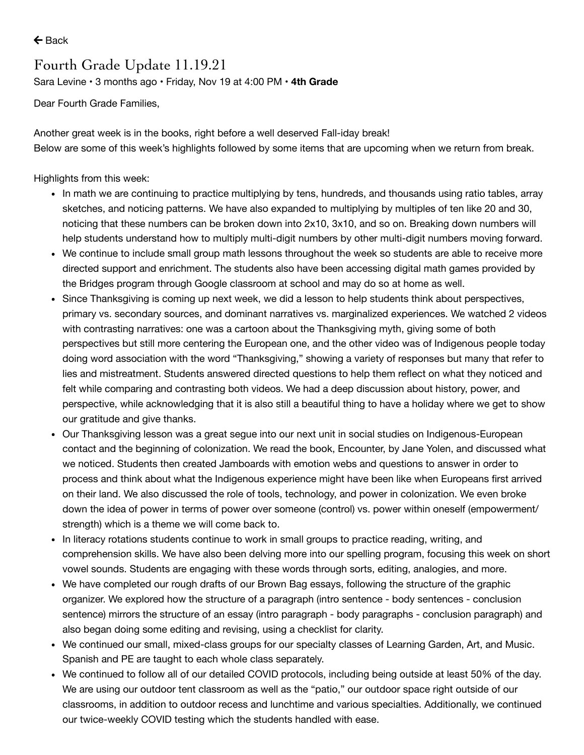$\leftarrow$  [Back](https://www.parentsquare.com/feeds/9936151)

## Fourth Grade Update 11.19.21

Sara [Levine](https://www.parentsquare.com/schools/1466/users/1968210) • 3 months ago • Friday, Nov 19 at 4:00 PM • **4th Grade**

Dear Fourth Grade Families,

Another great week is in the books, right before a well deserved Fall-iday break! Below are some of this week's highlights followed by some items that are upcoming when we return from break.

Highlights from this week:

- In math we are continuing to practice multiplying by tens, hundreds, and thousands using ratio tables, array sketches, and noticing patterns. We have also expanded to multiplying by multiples of ten like 20 and 30, noticing that these numbers can be broken down into 2x10, 3x10, and so on. Breaking down numbers will help students understand how to multiply multi-digit numbers by other multi-digit numbers moving forward.
- We continue to include small group math lessons throughout the week so students are able to receive more directed support and enrichment. The students also have been accessing digital math games provided by the Bridges program through Google classroom at school and may do so at home as well.
- Since Thanksgiving is coming up next week, we did a lesson to help students think about perspectives, primary vs. secondary sources, and dominant narratives vs. marginalized experiences. We watched 2 videos with contrasting narratives: one was a cartoon about the Thanksgiving myth, giving some of both perspectives but still more centering the European one, and the other video was of Indigenous people today doing word association with the word "Thanksgiving," showing a variety of responses but many that refer to lies and mistreatment. Students answered directed questions to help them reflect on what they noticed and felt while comparing and contrasting both videos. We had a deep discussion about history, power, and perspective, while acknowledging that it is also still a beautiful thing to have a holiday where we get to show our gratitude and give thanks.
- Our Thanksgiving lesson was a great segue into our next unit in social studies on Indigenous-European contact and the beginning of colonization. We read the book, Encounter, by Jane Yolen, and discussed what we noticed. Students then created Jamboards with emotion webs and questions to answer in order to process and think about what the Indigenous experience might have been like when Europeans first arrived on their land. We also discussed the role of tools, technology, and power in colonization. We even broke down the idea of power in terms of power over someone (control) vs. power within oneself (empowerment/ strength) which is a theme we will come back to.
- In literacy rotations students continue to work in small groups to practice reading, writing, and comprehension skills. We have also been delving more into our spelling program, focusing this week on short vowel sounds. Students are engaging with these words through sorts, editing, analogies, and more.
- We have completed our rough drafts of our Brown Bag essays, following the structure of the graphic organizer. We explored how the structure of a paragraph (intro sentence - body sentences - conclusion sentence) mirrors the structure of an essay (intro paragraph - body paragraphs - conclusion paragraph) and also began doing some editing and revising, using a checklist for clarity.
- We continued our small, mixed-class groups for our specialty classes of Learning Garden, Art, and Music. Spanish and PE are taught to each whole class separately.
- We continued to follow all of our detailed COVID protocols, including being outside at least 50% of the day. We are using our outdoor tent classroom as well as the "patio," our outdoor space right outside of our classrooms, in addition to outdoor recess and lunchtime and various specialties. Additionally, we continued our twice-weekly COVID testing which the students handled with ease.